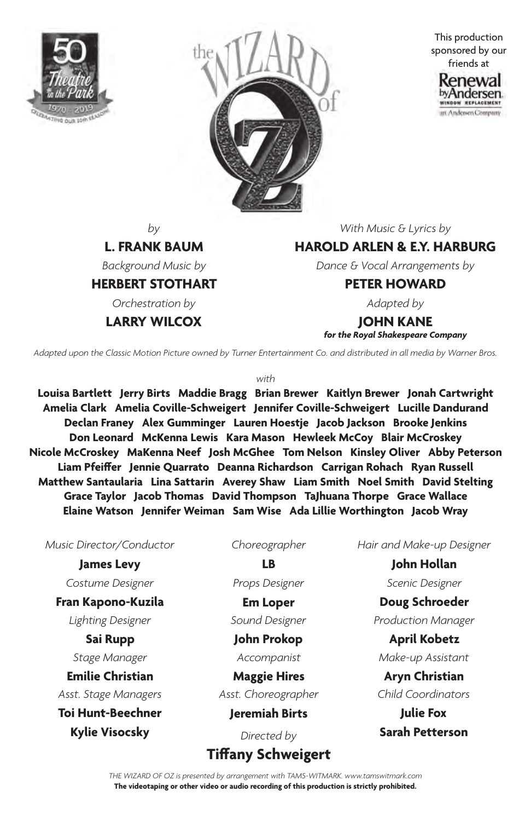



This production sponsored by our friends at



*by*

**L. FRANK BAUM**

*Background Music by*

**HERBERT STOTHART**

*Orchestration by*

**LARRY WILCOX**

*With Music & Lyrics by*

**HAROLD ARLEN & E.Y. HARBURG**

*Dance & Vocal Arrangements by*

### **PETER HOWARD**

*Adapted by*

**JOHN KANE** *for the Royal Shakespeare Company*

*Adapted upon the Classic Motion Picture owned by Turner Entertainment Co. and distributed in all media by Warner Bros.*

#### *with*

**Louisa Bartlett Jerry Birts Maddie Bragg Brian Brewer Kaitlyn Brewer Jonah Cartwright Amelia Clark Amelia Coville-Schweigert Jennifer Coville-Schweigert Lucille Dandurand Declan Franey Alex Gumminger Lauren Hoestje Jacob Jackson Brooke Jenkins Don Leonard McKenna Lewis Kara Mason Hewleek McCoy Blair McCroskey Nicole McCroskey MaKenna Neef Josh McGhee Tom Nelson Kinsley Oliver Abby Peterson Liam Pfeiffer Jennie Quarrato Deanna Richardson Carrigan Rohach Ryan Russell Matthew Santaularia Lina Sattarin Averey Shaw Liam Smith Noel Smith David Stelting Grace Taylor Jacob Thomas David Thompson TaJhuana Thorpe Grace Wallace Elaine Watson Jennifer Weiman Sam Wise Ada Lillie Worthington Jacob Wray**

*Music Director/Conductor*

**James Levy** *Costume Designer*

**Fran Kapono-Kuzila**

*Lighting Designer*

**Sai Rupp** *Stage Manager*

*Asst. Stage Managers* **Emilie Christian**

**Toi Hunt-Beechner Kylie Visocsky** *Directed by*

*Choreographer*

**LB** *Props Designer* 

**Em Loper** *Sound Designer*

**John Prokop** *Accompanist*

*Asst. Choreographer* **Maggie Hires**

**Jeremiah Birts**

# **Tiffany Schweigert**

*Hair and Make-up Designer*

**John Hollan** *Scenic Designer*

*Production Manager* **Doug Schroeder**

**April Kobetz** *Make-up Assistant*

*Child Coordinators* **Aryn Christian**

**Julie Fox Sarah Petterson**

*THE WIZARD OF OZ is presented by arrangement with TAMS-WITMARK. www.tamswitmark.com* **The videotaping or other video or audio recording of this production is strictly prohibited.**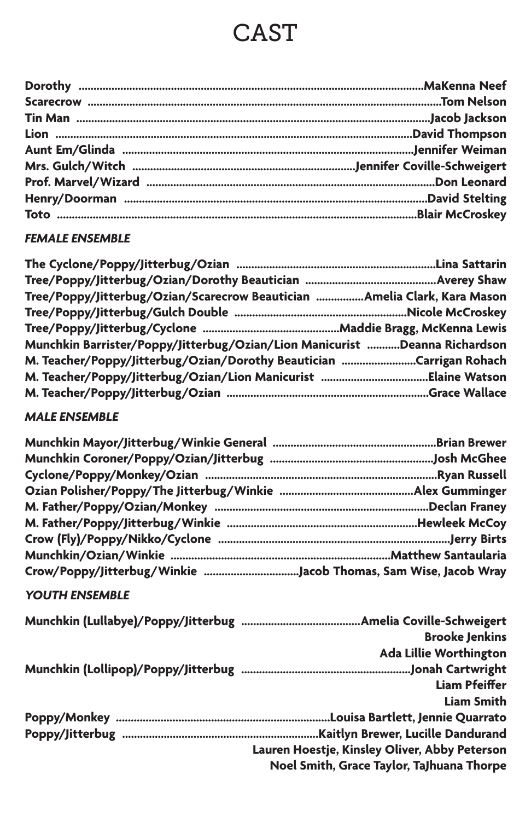# CAST

# *FEMALE ENSEMBLE*

| Tree/Poppy/Jitterbug/Ozian/Scarecrow Beautician Amelia Clark, Kara Mason   |  |
|----------------------------------------------------------------------------|--|
|                                                                            |  |
|                                                                            |  |
| Munchkin Barrister/Poppy/Jitterbug/Ozian/Lion Manicurist Deanna Richardson |  |
| M. Teacher/Poppy/Jitterbug/Ozian/Dorothy Beautician Carrigan Rohach        |  |
|                                                                            |  |
|                                                                            |  |

# *MALE ENSEMBLE*

| Crow/Poppy/Jitterbug/Winkie Jacob Thomas, Sam Wise, Jacob Wray |  |
|----------------------------------------------------------------|--|

# *YOUTH ENSEMBLE*

| <b>Brooke Jenkins</b>                         |
|-----------------------------------------------|
| Ada Lillie Worthington                        |
|                                               |
| <b>Liam Pfeiffer</b>                          |
| Liam Smith                                    |
|                                               |
|                                               |
| Lauren Hoestje, Kinsley Oliver, Abby Peterson |
| Noel Smith, Grace Taylor, TaJhuana Thorpe     |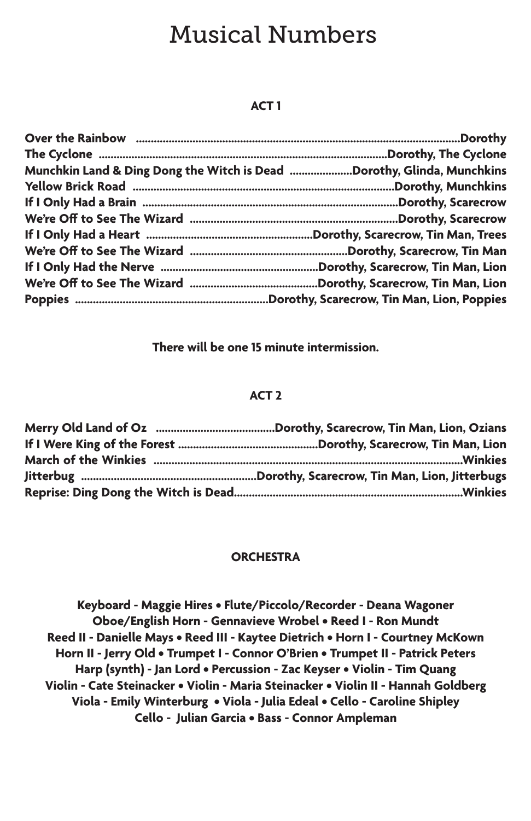# Musical Numbers

### **ACT 1**

| Munchkin Land & Ding Dong the Witch is Dead Dorothy, Glinda, Munchkins |
|------------------------------------------------------------------------|
|                                                                        |
|                                                                        |
|                                                                        |
|                                                                        |
|                                                                        |
|                                                                        |
|                                                                        |
|                                                                        |

**There will be one 15 minute intermission.**

#### **ACT 2**

#### **ORCHESTRA**

**Keyboard - Maggie Hires • Flute/Piccolo/Recorder - Deana Wagoner Oboe/English Horn - Gennavieve Wrobel • Reed I - Ron Mundt Reed II - Danielle Mays • Reed III - Kaytee Dietrich • Horn I - Courtney McKown Horn II - Jerry Old • Trumpet I - Connor O'Brien • Trumpet II - Patrick Peters Harp (synth) - Jan Lord • Percussion - Zac Keyser • Violin - Tim Quang Violin - Cate Steinacker • Violin - Maria Steinacker • Violin II - Hannah Goldberg Viola - Emily Winterburg • Viola - Julia Edeal • Cello - Caroline Shipley Cello - Julian Garcia • Bass - Connor Ampleman**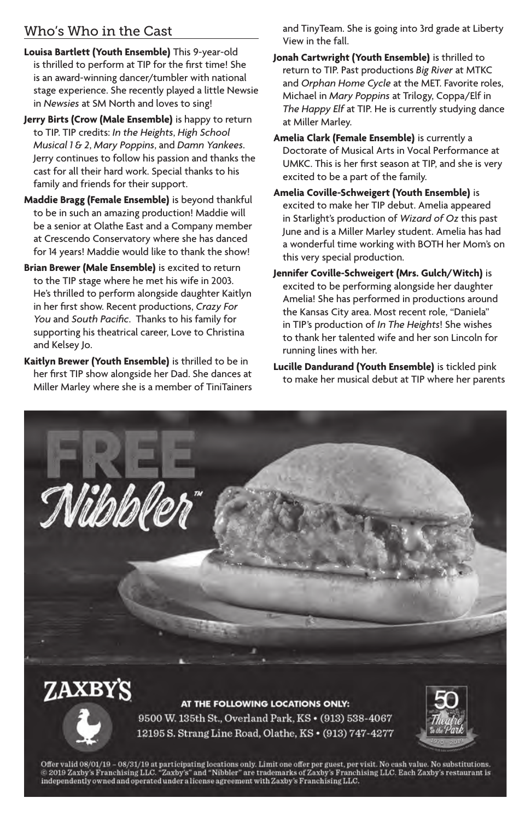# Who's Who in the Cast

- **Louisa Bartlett (Youth Ensemble)** This 9-year-old is thrilled to perform at TIP for the first time! She is an award-winning dancer/tumbler with national stage experience. She recently played a little Newsie in *Newsies* at SM North and loves to sing!
- **Jerry Birts (Crow (Male Ensemble)** is happy to return to TIP. TIP credits: *In the Heights*, *High School Musical 1 & 2*, *Mary Poppins*, and *Damn Yankees*. Jerry continues to follow his passion and thanks the cast for all their hard work. Special thanks to his family and friends for their support.
- **Maddie Bragg (Female Ensemble)** is beyond thankful to be in such an amazing production! Maddie will be a senior at Olathe East and a Company member at Crescendo Conservatory where she has danced for 14 years! Maddie would like to thank the show!
- **Brian Brewer (Male Ensemble)** is excited to return to the TIP stage where he met his wife in 2003. He's thrilled to perform alongside daughter Kaitlyn in her first show. Recent productions, *Crazy For You* and *South Pacific*. Thanks to his family for supporting his theatrical career, Love to Christina and Kelsey Jo.
- **Kaitlyn Brewer (Youth Ensemble)** is thrilled to be in her first TIP show alongside her Dad. She dances at Miller Marley where she is a member of TiniTainers

and TinyTeam. She is going into 3rd grade at Liberty View in the fall.

- **Jonah Cartwright (Youth Ensemble)** is thrilled to return to TIP. Past productions *Big River* at MTKC and *Orphan Home Cycle* at the MET. Favorite roles, Michael in *Mary Poppins* at Trilogy, Coppa/Elf in *The Happy Elf* at TIP. He is currently studying dance at Miller Marley.
- **Amelia Clark (Female Ensemble)** is currently a Doctorate of Musical Arts in Vocal Performance at UMKC. This is her first season at TIP, and she is very excited to be a part of the family.
- **Amelia Coville-Schweigert (Youth Ensemble)** is excited to make her TIP debut. Amelia appeared in Starlight's production of *Wizard of Oz* this past June and is a Miller Marley student. Amelia has had a wonderful time working with BOTH her Mom's on this very special production.
- **Jennifer Coville-Schweigert (Mrs. Gulch/Witch)** is excited to be performing alongside her daughter Amelia! She has performed in productions around the Kansas City area. Most recent role, "Daniela" in TIP's production of *In The Heights*! She wishes to thank her talented wife and her son Lincoln for running lines with her.
- **Lucille Dandurand (Youth Ensemble)** is tickled pink to make her musical debut at TIP where her parents



Offer valid 08/01/19 – 08/31/19 at participating locations only. Limit one offer per guest, per visit. No cash value. No substitutions.<br>© 2019 Zaxby's Franchising LLC. "Zaxby's" and "Nibbler" are trademarks of Zaxby's Fran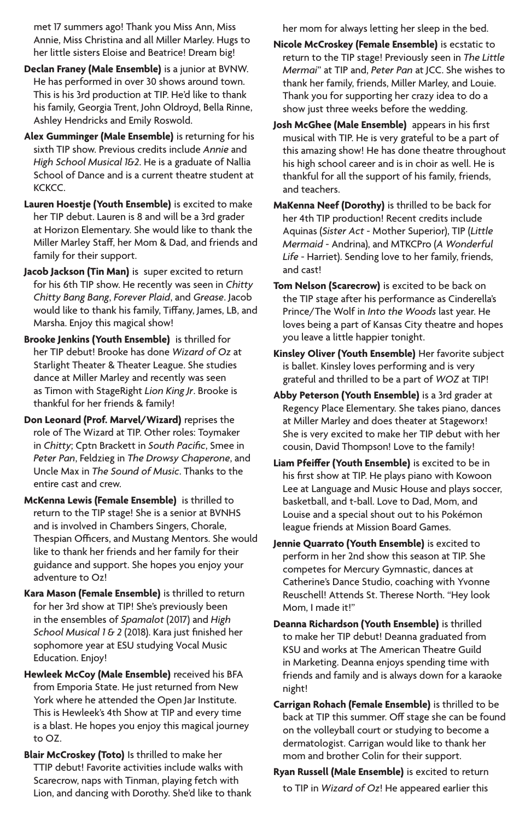met 17 summers ago! Thank you Miss Ann, Miss Annie, Miss Christina and all Miller Marley. Hugs to her little sisters Eloise and Beatrice! Dream big!

- **Declan Franey (Male Ensemble)** is a junior at BVNW. He has performed in over 30 shows around town. This is his 3rd production at TIP. He'd like to thank his family, Georgia Trent, John Oldroyd, Bella Rinne, Ashley Hendricks and Emily Roswold.
- **Alex Gumminger (Male Ensemble)** is returning for his sixth TIP show. Previous credits include *Annie* and *High School Musical 1&2*. He is a graduate of Nallia School of Dance and is a current theatre student at **KCKCC**
- **Lauren Hoestje (Youth Ensemble)** is excited to make her TIP debut. Lauren is 8 and will be a 3rd grader at Horizon Elementary. She would like to thank the Miller Marley Staff, her Mom & Dad, and friends and family for their support.
- **Jacob Jackson (Tin Man)** is super excited to return for his 6th TIP show. He recently was seen in *Chitty Chitty Bang Bang*, *Forever Plaid*, and *Grease*. Jacob would like to thank his family, Tiffany, James, LB, and Marsha. Enjoy this magical show!
- **Brooke Jenkins (Youth Ensemble)** is thrilled for her TIP debut! Brooke has done *Wizard of Oz* at Starlight Theater & Theater League. She studies dance at Miller Marley and recently was seen as Timon with StageRight *Lion King Jr*. Brooke is thankful for her friends & family!
- **Don Leonard (Prof. Marvel/Wizard)** reprises the role of The Wizard at TIP. Other roles: Toymaker in *Chitty*; Cptn Brackett in *South Pacific*, Smee in *Peter Pan*, Feldzieg in *The Drowsy Chaperone*, and Uncle Max in *The Sound of Music*. Thanks to the entire cast and crew.
- **McKenna Lewis (Female Ensemble)** is thrilled to return to the TIP stage! She is a senior at BVNHS and is involved in Chambers Singers, Chorale, Thespian Officers, and Mustang Mentors. She would like to thank her friends and her family for their guidance and support. She hopes you enjoy your adventure to Oz!
- **Kara Mason (Female Ensemble)** is thrilled to return for her 3rd show at TIP! She's previously been in the ensembles of *Spamalot* (2017) and *High School Musical 1 & 2* (2018). Kara just finished her sophomore year at ESU studying Vocal Music Education. Enjoy!
- **Hewleek McCoy (Male Ensemble)** received his BFA from Emporia State. He just returned from New York where he attended the Open Jar Institute. This is Hewleek's 4th Show at TIP and every time is a blast. He hopes you enjoy this magical journey to OZ.
- **Blair McCroskey (Toto)** Is thrilled to make her TTIP debut! Favorite activities include walks with Scarecrow, naps with Tinman, playing fetch with Lion, and dancing with Dorothy. She'd like to thank

her mom for always letting her sleep in the bed.

- **Nicole McCroskey (Female Ensemble)** is ecstatic to return to the TIP stage! Previously seen in *The Little Mermai*" at TIP and, *Peter Pan* at JCC. She wishes to thank her family, friends, Miller Marley, and Louie. Thank you for supporting her crazy idea to do a show just three weeks before the wedding.
- **Josh McGhee (Male Ensemble)** appears in his first musical with TIP. He is very grateful to be a part of this amazing show! He has done theatre throughout his high school career and is in choir as well. He is thankful for all the support of his family, friends, and teachers.
- **MaKenna Neef (Dorothy)** is thrilled to be back for her 4th TIP production! Recent credits include Aquinas (*Sister Act* - Mother Superior), TIP (*Little Mermaid* - Andrina), and MTKCPro (*A Wonderful Life* - Harriet). Sending love to her family, friends, and cast!
- **Tom Nelson (Scarecrow)** is excited to be back on the TIP stage after his performance as Cinderella's Prince/The Wolf in *Into the Woods* last year. He loves being a part of Kansas City theatre and hopes you leave a little happier tonight.
- **Kinsley Oliver (Youth Ensemble)** Her favorite subject is ballet. Kinsley loves performing and is very grateful and thrilled to be a part of *WOZ* at TIP!
- **Abby Peterson (Youth Ensemble)** is a 3rd grader at Regency Place Elementary. She takes piano, dances at Miller Marley and does theater at Stageworx! She is very excited to make her TIP debut with her cousin, David Thompson! Love to the family!
- **Liam Pfeiffer (Youth Ensemble)** is excited to be in his first show at TIP. He plays piano with Kowoon Lee at Language and Music House and plays soccer, basketball, and t-ball. Love to Dad, Mom, and Louise and a special shout out to his Pokémon league friends at Mission Board Games.
- **Jennie Quarrato (Youth Ensemble)** is excited to perform in her 2nd show this season at TIP. She competes for Mercury Gymnastic, dances at Catherine's Dance Studio, coaching with Yvonne Reuschell! Attends St. Therese North. "Hey look Mom, I made it!"
- **Deanna Richardson (Youth Ensemble)** is thrilled to make her TIP debut! Deanna graduated from KSU and works at The American Theatre Guild in Marketing. Deanna enjoys spending time with friends and family and is always down for a karaoke night!
- **Carrigan Rohach (Female Ensemble)** is thrilled to be back at TIP this summer. Off stage she can be found on the volleyball court or studying to become a dermatologist. Carrigan would like to thank her mom and brother Colin for their support.
- **Ryan Russell (Male Ensemble)** is excited to return to TIP in *Wizard of Oz*! He appeared earlier this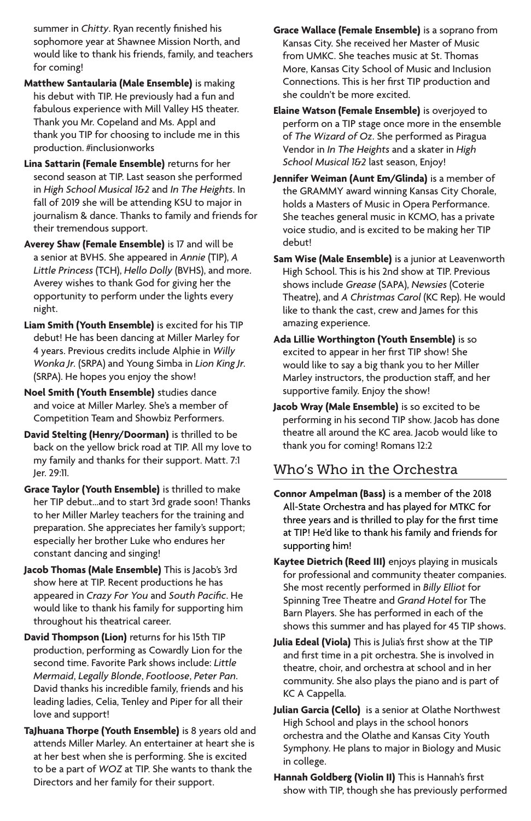summer in *Chitty*. Ryan recently finished his sophomore year at Shawnee Mission North, and would like to thank his friends, family, and teachers for coming!

- **Matthew Santaularia (Male Ensemble)** is making his debut with TIP. He previously had a fun and fabulous experience with Mill Valley HS theater. Thank you Mr. Copeland and Ms. Appl and thank you TIP for choosing to include me in this production. #inclusionworks
- **Lina Sattarin (Female Ensemble)** returns for her second season at TIP. Last season she performed in *High School Musical 1&2* and *In The Heights*. In fall of 2019 she will be attending KSU to major in journalism & dance. Thanks to family and friends for their tremendous support.
- **Averey Shaw (Female Ensemble)** is 17 and will be a senior at BVHS. She appeared in *Annie* (TIP), *A Little Princess* (TCH), *Hello Dolly* (BVHS), and more. Averey wishes to thank God for giving her the opportunity to perform under the lights every night.
- **Liam Smith (Youth Ensemble)** is excited for his TIP debut! He has been dancing at Miller Marley for 4 years. Previous credits include Alphie in *Willy Wonka Jr.* (SRPA) and Young Simba in *Lion King Jr.* (SRPA). He hopes you enjoy the show!
- **Noel Smith (Youth Ensemble)** studies dance and voice at Miller Marley. She's a member of Competition Team and Showbiz Performers.
- **David Stelting (Henry/Doorman)** is thrilled to be back on the yellow brick road at TIP. All my love to my family and thanks for their support. Matt. 7:1 Jer. 29:11.
- **Grace Taylor (Youth Ensemble)** is thrilled to make her TIP debut…and to start 3rd grade soon! Thanks to her Miller Marley teachers for the training and preparation. She appreciates her family's support; especially her brother Luke who endures her constant dancing and singing!
- **Jacob Thomas (Male Ensemble)** This is Jacob's 3rd show here at TIP. Recent productions he has appeared in *Crazy For You* and *South Pacific*. He would like to thank his family for supporting him throughout his theatrical career.
- **David Thompson (Lion)** returns for his 15th TIP production, performing as Cowardly Lion for the second time. Favorite Park shows include: *Little Mermaid*, *Legally Blonde*, *Footloose*, *Peter Pan*. David thanks his incredible family, friends and his leading ladies, Celia, Tenley and Piper for all their love and support!
- **TaJhuana Thorpe (Youth Ensemble)** is 8 years old and attends Miller Marley. An entertainer at heart she is at her best when she is performing. She is excited to be a part of *WOZ* at TIP. She wants to thank the Directors and her family for their support.
- **Grace Wallace (Female Ensemble)** is a soprano from Kansas City. She received her Master of Music from UMKC. She teaches music at St. Thomas More, Kansas City School of Music and Inclusion Connections. This is her first TIP production and she couldn't be more excited.
- **Elaine Watson (Female Ensemble)** is overjoyed to perform on a TIP stage once more in the ensemble of *The Wizard of Oz*. She performed as Piragua Vendor in *In The Heights* and a skater in *High School Musical 1&2* last season, Enjoy!
- **Jennifer Weiman (Aunt Em/Glinda)** is a member of the GRAMMY award winning Kansas City Chorale, holds a Masters of Music in Opera Performance. She teaches general music in KCMO, has a private voice studio, and is excited to be making her TIP debut!
- **Sam Wise (Male Ensemble)** is a junior at Leavenworth High School. This is his 2nd show at TIP. Previous shows include *Grease* (SAPA), *Newsies* (Coterie Theatre), and *A Christmas Carol* (KC Rep). He would like to thank the cast, crew and James for this amazing experience.
- **Ada Lillie Worthington (Youth Ensemble)** is so excited to appear in her first TIP show! She would like to say a big thank you to her Miller Marley instructors, the production staff, and her supportive family. Enjoy the show!
- **Jacob Wray (Male Ensemble)** is so excited to be performing in his second TIP show. Jacob has done theatre all around the KC area. Jacob would like to thank you for coming! Romans 12:2

# Who's Who in the Orchestra

- **Connor Ampelman (Bass)** is a member of the 2018 All-State Orchestra and has played for MTKC for three years and is thrilled to play for the first time at TIP! He'd like to thank his family and friends for supporting him!
- **Kaytee Dietrich (Reed III)** enjoys playing in musicals for professional and community theater companies. She most recently performed in *Billy Elliot* for Spinning Tree Theatre and *Grand Hotel* for The Barn Players. She has performed in each of the shows this summer and has played for 45 TIP shows.
- **Julia Edeal (Viola)** This is Julia's first show at the TIP and first time in a pit orchestra. She is involved in theatre, choir, and orchestra at school and in her community. She also plays the piano and is part of KC A Cappella.
- **Julian Garcia (Cello)** is a senior at Olathe Northwest High School and plays in the school honors orchestra and the Olathe and Kansas City Youth Symphony. He plans to major in Biology and Music in college.
- **Hannah Goldberg (Violin II)** This is Hannah's first show with TIP, though she has previously performed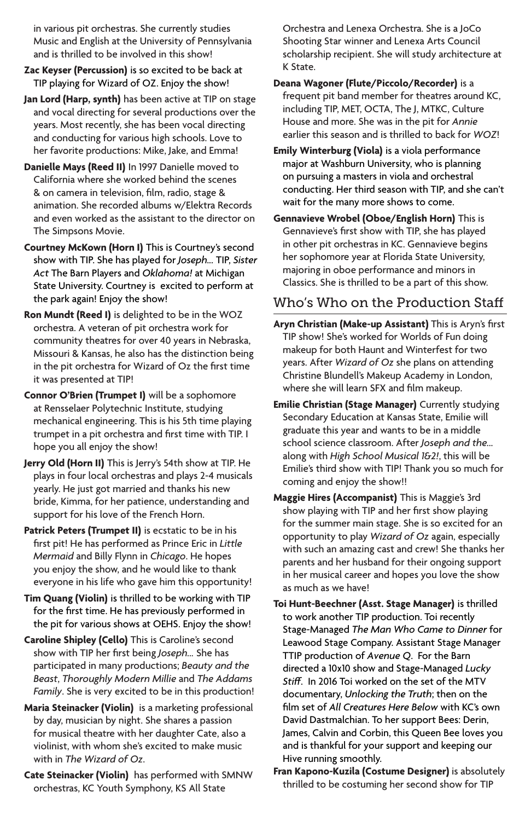in various pit orchestras. She currently studies Music and English at the University of Pennsylvania and is thrilled to be involved in this show!

- **Zac Keyser (Percussion)** is so excited to be back at TIP playing for Wizard of OZ. Enjoy the show!
- **Jan Lord (Harp, synth)** has been active at TIP on stage and vocal directing for several productions over the years. Most recently, she has been vocal directing and conducting for various high schools. Love to her favorite productions: Mike, Jake, and Emma!
- **Danielle Mays (Reed II)** In 1997 Danielle moved to California where she worked behind the scenes & on camera in television, film, radio, stage & animation. She recorded albums w/Elektra Records and even worked as the assistant to the director on The Simpsons Movie.
- **Courtney McKown (Horn I)** This is Courtney's second show with TIP. She has played for *Joseph...* TIP, *Sister Act* The Barn Players and *Oklahoma!* at Michigan State University. Courtney is excited to perform at the park again! Enjoy the show!
- **Ron Mundt (Reed I)** is delighted to be in the WOZ orchestra. A veteran of pit orchestra work for community theatres for over 40 years in Nebraska, Missouri & Kansas, he also has the distinction being in the pit orchestra for Wizard of Oz the first time it was presented at TIP!
- **Connor O'Brien (Trumpet I)** will be a sophomore at Rensselaer Polytechnic Institute, studying mechanical engineering. This is his 5th time playing trumpet in a pit orchestra and first time with TIP. I hope you all enjoy the show!
- **Jerry Old (Horn II)** This is Jerry's 54th show at TIP. He plays in four local orchestras and plays 2-4 musicals yearly. He just got married and thanks his new bride, Kimma, for her patience, understanding and support for his love of the French Horn.
- **Patrick Peters (Trumpet II)** is ecstatic to be in his first pit! He has performed as Prince Eric in *Little Mermaid* and Billy Flynn in *Chicago*. He hopes you enjoy the show, and he would like to thank everyone in his life who gave him this opportunity!
- **Tim Quang (Violin)** is thrilled to be working with TIP for the first time. He has previously performed in the pit for various shows at OEHS. Enjoy the show!
- **Caroline Shipley (Cello)** This is Caroline's second show with TIP her first being *Joseph...* She has participated in many productions; *Beauty and the Beast*, *Thoroughly Modern Millie* and *The Addams Family*. She is very excited to be in this production!
- **Maria Steinacker (Violin)** is a marketing professional by day, musician by night. She shares a passion for musical theatre with her daughter Cate, also a violinist, with whom she's excited to make music with in *The Wizard of Oz*.
- **Cate Steinacker (Violin)** has performed with SMNW orchestras, KC Youth Symphony, KS All State

Orchestra and Lenexa Orchestra. She is a JoCo Shooting Star winner and Lenexa Arts Council scholarship recipient. She will study architecture at K State.

- **Deana Wagoner (Flute/Piccolo/Recorder)** is a frequent pit band member for theatres around KC, including TIP, MET, OCTA, The J, MTKC, Culture House and more. She was in the pit for *Annie*  earlier this season and is thrilled to back for *WOZ*!
- **Emily Winterburg (Viola)** is a viola performance major at Washburn University, who is planning on pursuing a masters in viola and orchestral conducting. Her third season with TIP, and she can't wait for the many more shows to come.
- **Gennavieve Wrobel (Oboe/English Horn)** This is Gennavieve's first show with TIP, she has played in other pit orchestras in KC. Gennavieve begins her sophomore year at Florida State University, majoring in oboe performance and minors in Classics. She is thrilled to be a part of this show.

# Who's Who on the Production Staff

- **Aryn Christian (Make-up Assistant)** This is Aryn's first TIP show! She's worked for Worlds of Fun doing makeup for both Haunt and Winterfest for two years. After *Wizard of Oz* she plans on attending Christine Blundell's Makeup Academy in London, where she will learn SFX and film makeup.
- **Emilie Christian (Stage Manager)** Currently studying Secondary Education at Kansas State, Emilie will graduate this year and wants to be in a middle school science classroom. After *Joseph and the...* along with *High School Musical 1&2!*, this will be Emilie's third show with TIP! Thank you so much for coming and enjoy the show!!
- **Maggie Hires (Accompanist)** This is Maggie's 3rd show playing with TIP and her first show playing for the summer main stage. She is so excited for an opportunity to play *Wizard of Oz* again, especially with such an amazing cast and crew! She thanks her parents and her husband for their ongoing support in her musical career and hopes you love the show as much as we have!
- **Toi Hunt-Beechner (Asst. Stage Manager)** is thrilled to work another TIP production. Toi recently Stage-Managed *The Man Who Came to Dinner* for Leawood Stage Company. Assistant Stage Manager TTIP production of *Avenue Q*. For the Barn directed a 10x10 show and Stage-Managed *Lucky Stiff*. In 2016 Toi worked on the set of the MTV documentary, *Unlocking the Truth*; then on the film set of *All Creatures Here Below* with KC's own David Dastmalchian. To her support Bees: Derin, James, Calvin and Corbin, this Queen Bee loves you and is thankful for your support and keeping our Hive running smoothly.
- **Fran Kapono-Kuzila (Costume Designer)** is absolutely thrilled to be costuming her second show for TIP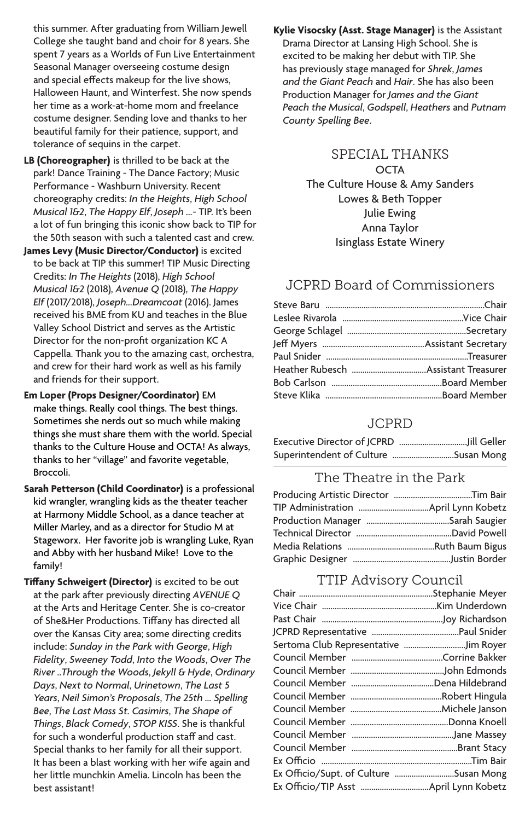this summer. After graduating from William Jewell College she taught band and choir for 8 years. She spent 7 years as a Worlds of Fun Live Entertainment Seasonal Manager overseeing costume design and special effects makeup for the live shows, Halloween Haunt, and Winterfest. She now spends her time as a work-at-home mom and freelance costume designer. Sending love and thanks to her beautiful family for their patience, support, and tolerance of sequins in the carpet.

- **LB (Choreographer)** is thrilled to be back at the park! Dance Training - The Dance Factory; Music .<br>Performance - Washburn University. Recent choreography credits: *In the Heights*, *High School Musical 1&2*, *The Happy Elf*, *Joseph ...*- TIP. It's been a lot of fun bringing this iconic show back to TIP for the 50th season with such a talented cast and crew.
- **James Levy (Music Director/Conductor)** is excited to be back at TIP this summer! TIP Music Directing Credits: *In The Heights* (2018), *High School Musical 1&2* (2018), *Avenue Q* (2018), *The Happy Elf* (2017/2018), *Joseph...Dreamcoat* (2016). James received his BME from KU and teaches in the Blue Valley School District and serves as the Artistic Director for the non-profit organization KC A Cappella. Thank you to the amazing cast, orchestra, and crew for their hard work as well as his family and friends for their support.
- **Em Loper (Props Designer/Coordinator)** EM make things. Really cool things. The best things. Sometimes she nerds out so much while making things she must share them with the world. Special thanks to the Culture House and OCTA! As always, thanks to her "village" and favorite vegetable, Broccoli.
- **Sarah Petterson (Child Coordinator)** is a professional kid wrangler, wrangling kids as the theater teacher at Harmony Middle School, as a dance teacher at Miller Marley, and as a director for Studio M at Stageworx. Her favorite job is wrangling Luke, Ryan and Abby with her husband Mike! Love to the family!
- **Tiffany Schweigert (Director)** is excited to be out at the park after previously directing *AVENUE Q* at the Arts and Heritage Center. She is co-creator of She&Her Productions. Tiffany has directed all over the Kansas City area; some directing credits include: *Sunday in the Park with George*, *High Fidelity*, *Sweeney Todd*, *Into the Woods*, *Over The River ..Through the Woods*, *Jekyll & Hyde*, *Ordinary Days*, *Next to Normal*, *Urinetown*, *The Last 5 Years*, *Neil Simon's Proposals*, *The 25th … Spelling Bee*, *The Last Mass St. Casimirs*, *The Shape of Things*, *Black Comedy*, *STOP KISS*. She is thankful for such a wonderful production staff and cast. Special thanks to her family for all their support. It has been a blast working with her wife again and her little munchkin Amelia. Lincoln has been the best assistant!

**Kylie Visocsky (Asst. Stage Manager)** is the Assistant Drama Director at Lansing High School. She is excited to be making her debut with TIP. She has previously stage managed for *Shrek*, *James and the Giant Peach* and *Hair*. She has also been Production Manager for *James and the Giant Peach the Musical*, *Godspell*, *Heathers* and *Putnam County Spelling Bee*.

#### SPECIAL THANKS **OCTA** The Culture House & Amy Sanders

Lowes & Beth Topper Julie Ewing Anna Taylor Isinglass Estate Winery

## JCPRD Board of Commissioners

## JCPRD

| Superintendent of Culture Susan Mong |  |
|--------------------------------------|--|

### The Theatre in the Park

## TTIP Advisory Council

| Sertoma Club Representative Jim Royer  |  |
|----------------------------------------|--|
|                                        |  |
|                                        |  |
|                                        |  |
|                                        |  |
|                                        |  |
|                                        |  |
|                                        |  |
|                                        |  |
|                                        |  |
| Ex Officio/Supt. of Culture Susan Mong |  |
|                                        |  |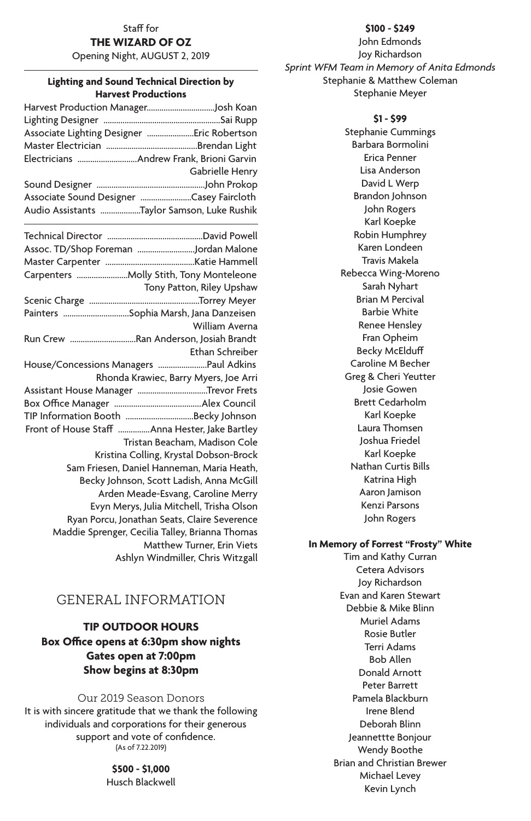# Staff for

**THE WIZARD OF OZ**

Opening Night, AUGUST 2, 2019

#### **Lighting and Sound Technical Direction by Harvest Productions**

| Associate Lighting Designer Eric Robertson  |                           |
|---------------------------------------------|---------------------------|
|                                             |                           |
| Electricians Andrew Frank, Brioni Garvin    |                           |
|                                             | Gabrielle Henry           |
|                                             |                           |
| Associate Sound Designer Casey Faircloth    |                           |
| Audio Assistants Taylor Samson, Luke Rushik |                           |
|                                             |                           |
| Assoc. TD/Shop Foreman Jordan Malone        |                           |
|                                             |                           |
|                                             |                           |
|                                             | Tony Patton, Riley Upshaw |
|                                             |                           |
| Painters Sophia Marsh Jana Danzeisen        |                           |

| Painters Sophia Marsh, Jana Danzeisen           |
|-------------------------------------------------|
| William Averna                                  |
| Run Crew Ran Anderson, Josiah Brandt            |
| Ethan Schreiber                                 |
| House/Concessions Managers Paul Adkins          |
| Rhonda Krawiec, Barry Myers, Joe Arri           |
| Assistant House Manager Trevor Frets            |
|                                                 |
|                                                 |
| Front of House Staff Anna Hester, Jake Bartley  |
| Tristan Beacham, Madison Cole                   |
| Kristina Colling, Krystal Dobson-Brock          |
| Sam Friesen, Daniel Hanneman, Maria Heath,      |
| Becky Johnson, Scott Ladish, Anna McGill        |
| Arden Meade-Esvang, Caroline Merry              |
| Evyn Merys, Julia Mitchell, Trisha Olson        |
| Ryan Porcu, Jonathan Seats, Claire Severence    |
| Maddie Sprenger, Cecilia Talley, Brianna Thomas |
| Matthew Turner, Erin Viets                      |
| Ashlyn Windmiller, Chris Witzgall               |

# GENERAL INFORMATION

#### **TIP OUTDOOR HOURS Box Office opens at 6:30pm show nights Gates open at 7:00pm Show begins at 8:30pm**

Our 2019 Season Donors It is with sincere gratitude that we thank the following individuals and corporations for their generous support and vote of confidence. (As of 7.22.2019)

> **\$500 - \$1,000** Husch Blackwell

**\$100 - \$249**

John Edmonds Joy Richardson *Sprint WFM Team in Memory of Anita Edmonds* Stephanie & Matthew Coleman Stephanie Meyer

#### **\$1 - \$99**

Stephanie Cummings Barbara Bormolini Erica Penner Lisa Anderson David L Werp Brandon Johnson John Rogers Karl Koepke Robin Humphrey Karen Londeen Travis Makela Rebecca Wing-Moreno Sarah Nyhart Brian M Percival Barbie White Renee Hensley Fran Opheim Becky McElduff Caroline M Becher Greg & Cheri Yeutter Josie Gowen Brett Cedarholm Karl Koepke Laura Thomsen Joshua Friedel Karl Koepke Nathan Curtis Bills Katrina High Aaron Jamison Kenzi Parsons John Rogers

#### **In Memory of Forrest "Frosty" White**

Tim and Kathy Curran Cetera Advisors Joy Richardson Evan and Karen Stewart Debbie & Mike Blinn Muriel Adams Rosie Butler Terri Adams Bob Allen Donald Arnott Peter Barrett Pamela Blackburn Irene Blend Deborah Blinn Jeannettte Bonjour Wendy Boothe Brian and Christian Brewer Michael Levey Kevin Lynch